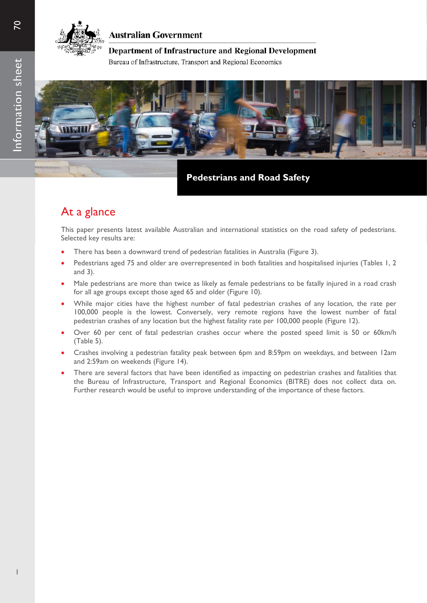

### **Australian Government**

### Department of Infrastructure and Regional Development

Bureau of Infrastructure, Transport and Regional Economics



**Pedestrians and Road Safety**

## At a glance

This paper presents latest available Australian and international statistics on the road safety of pedestrians. Selected key results are:

- There has been a downward trend of pedestrian fatalities in Australia (Figure 3).
- Pedestrians aged 75 and older are overrepresented in both fatalities and hospitalised injuries (Tables 1, 2 and 3).
- Male pedestrians are more than twice as likely as female pedestrians to be fatally injured in a road crash for all age groups except those aged 65 and older (Figure 10).
- While major cities have the highest number of fatal pedestrian crashes of any location, the rate per 100,000 people is the lowest. Conversely, very remote regions have the lowest number of fatal pedestrian crashes of any location but the highest fatality rate per 100,000 people (Figure 12).
- Over 60 per cent of fatal pedestrian crashes occur where the posted speed limit is 50 or 60km/h (Table 5).
- Crashes involving a pedestrian fatality peak between 6pm and 8:59pm on weekdays, and between 12am and 2:59am on weekends (Figure 14).
- There are several factors that have been identified as impacting on pedestrian crashes and fatalities that the Bureau of Infrastructure, Transport and Regional Economics (BITRE) does not collect data on. Further research would be useful to improve understanding of the importance of these factors.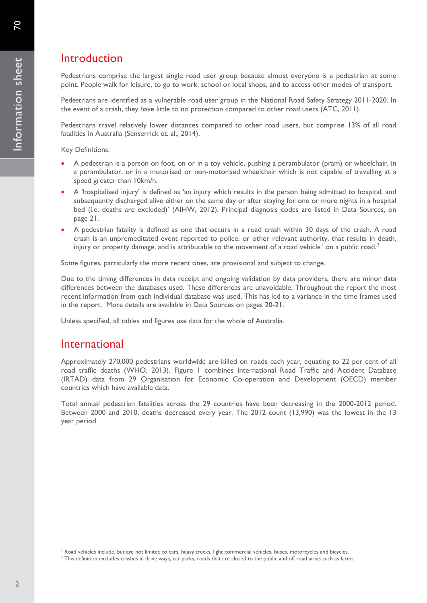## Introduction

Pedestrians comprise the largest single road user group because almost everyone is a pedestrian at some point. People walk for leisure, to go to work, school or local shops, and to access other modes of transport.

Pedestrians are identified as a vulnerable road user group in the National Road Safety Strategy 2011-2020. In the event of a crash, they have little to no protection compared to other road users (ATC, 2011).

Pedestrians travel relatively lower distances compared to other road users, but comprise 13% of all road fatalities in Australia (Senserrick et. al., 2014).

Key Definitions:

- A pedestrian is a person on foot, on or in a toy vehicle, pushing a perambulator (pram) or wheelchair, in a perambulator, or in a motorised or non-motorised wheelchair which is not capable of travelling at a speed greater than 10km/h.
- A 'hospitalised injury' is defined as 'an injury which results in the person being admitted to hospital, and subsequently discharged alive either on the same day or after staying for one or more nights in a hospital bed (i.e. deaths are excluded)' (AIHW, 2012). Principal diagnosis codes are listed in Data Sources, on page 21.
- A pedestrian fatality is defined as one that occurs in a road crash within 30 days of the crash. A road crash is an unpremeditated event reported to police, or other relevant authority, that results in death, injury or property damage, and is attributable to the movement of a road vehicle<sup>[1](#page-1-0)</sup> on a public road.<sup>[2](#page-1-1)</sup>

Some figures, particularly the more recent ones, are provisional and subject to change.

Due to the timing differences in data receipt and ongoing validation by data providers, there are minor data differences between the databases used. These differences are unavoidable. Throughout the report the most recent information from each individual database was used. This has led to a variance in the time frames used in the report. More details are available in Data Sources on pages 20-21.

Unless specified, all tables and figures use data for the whole of Australia.

### International

Approximately 270,000 pedestrians worldwide are killed on roads each year, equating to 22 per cent of all road traffic deaths (WHO, 2013). Figure 1 combines International Road Traffic and Accident Database (IRTAD) data from 29 Organisation for Economic Co-operation and Development (OECD) member countries which have available data.

Total annual pedestrian fatalities across the 29 countries have been decreasing in the 2000-2012 period. Between 2000 and 2010, deaths decreased every year. The 2012 count (13,990) was the lowest in the 13 year period.

Road vehicles include, but are not limited to cars, heavy trucks, light commercial vehicles, buses, motorcycles and bicycles.  $\overline{a}$ 

<span id="page-1-1"></span><span id="page-1-0"></span> $2$  This definition excludes crashes in drive ways, car parks, roads that are closed to the public and off road areas such as farms.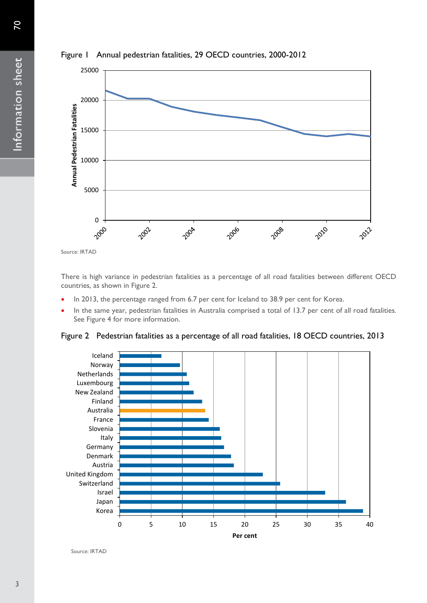



There is high variance in pedestrian fatalities as a percentage of all road fatalities between different OECD countries, as shown in Figure 2.

- In 2013, the percentage ranged from 6.7 per cent for Iceland to 38.9 per cent for Korea.
- In the same year, pedestrian fatalities in Australia comprised a total of 13.7 per cent of all road fatalities. See Figure 4 for more information.

Figure 2 Pedestrian fatalities as a percentage of all road fatalities, 18 OECD countries, 2013



Source: IRTAD

Source: IRTAD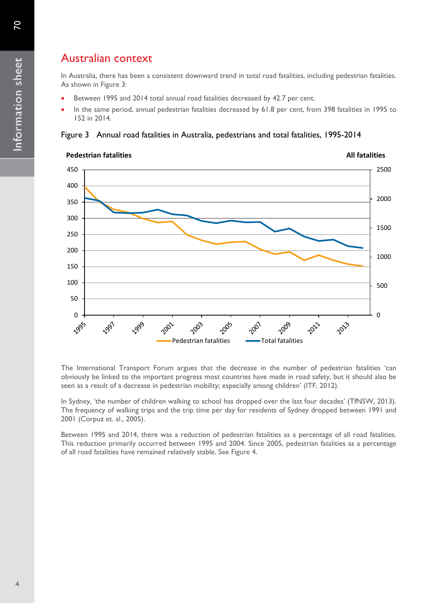## Australian context

In Australia, there has been a consistent downward trend in total road fatalities, including pedestrian fatalities. As shown in Figure 3:

- Between 1995 and 2014 total annual road fatalities decreased by 42.7 per cent.
- In the same period, annual pedestrian fatalities decreased by 61.8 per cent, from 398 fatalities in 1995 to 152 in 2014.

Figure 3 Annual road fatalities in Australia, pedestrians and total fatalities, 1995-2014



The International Transport Forum argues that the decrease in the number of pedestrian fatalities 'can obviously be linked to the important progress most countries have made in road safety, but it should also be seen as a result of a decrease in pedestrian mobility; especially among children' (ITF, 2012).

In Sydney, 'the number of children walking to school has dropped over the last four decades' (TfNSW, 2013). The frequency of walking trips and the trip time per day for residents of Sydney dropped between 1991 and 2001 (Corpuz et. al., 2005).

Between 1995 and 2014, there was a reduction of pedestrian fatalities as a percentage of all road fatalities. This reduction primarily occurred between 1995 and 2004. Since 2005, pedestrian fatalities as a percentage of all road fatalities have remained relatively stable. See Figure 4.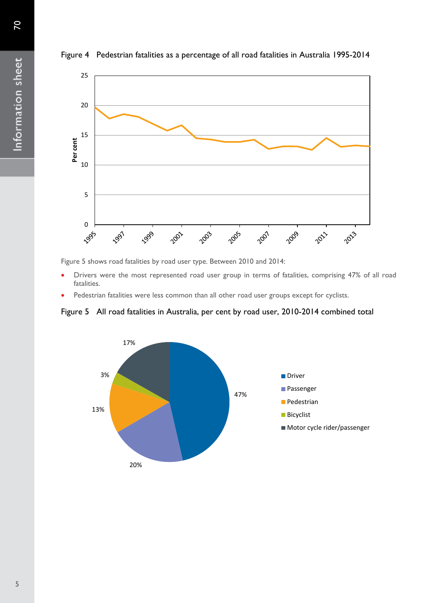



Figure 5 shows road fatalities by road user type. Between 2010 and 2014:

- Drivers were the most represented road user group in terms of fatalities, comprising 47% of all road fatalities.
- Pedestrian fatalities were less common than all other road user groups except for cyclists.



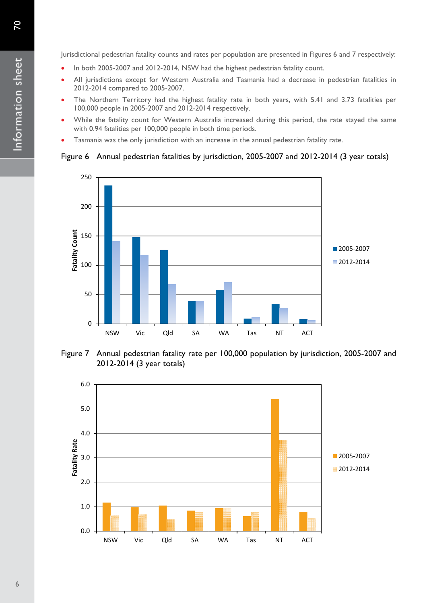Jurisdictional pedestrian fatality counts and rates per population are presented in Figures 6 and 7 respectively:

- In both 2005-2007 and 2012-2014, NSW had the highest pedestrian fatality count.
- All jurisdictions except for Western Australia and Tasmania had a decrease in pedestrian fatalities in 2012-2014 compared to 2005-2007.
- The Northern Territory had the highest fatality rate in both years, with 5.41 and 3.73 fatalities per 100,000 people in 2005-2007 and 2012-2014 respectively.
- While the fatality count for Western Australia increased during this period, the rate stayed the same with 0.94 fatalities per 100,000 people in both time periods.
- Tasmania was the only jurisdiction with an increase in the annual pedestrian fatality rate.

#### Figure 6 Annual pedestrian fatalities by jurisdiction, 2005-2007 and 2012-2014 (3 year totals)



Figure 7 Annual pedestrian fatality rate per 100,000 population by jurisdiction, 2005-2007 and 2012-2014 (3 year totals)

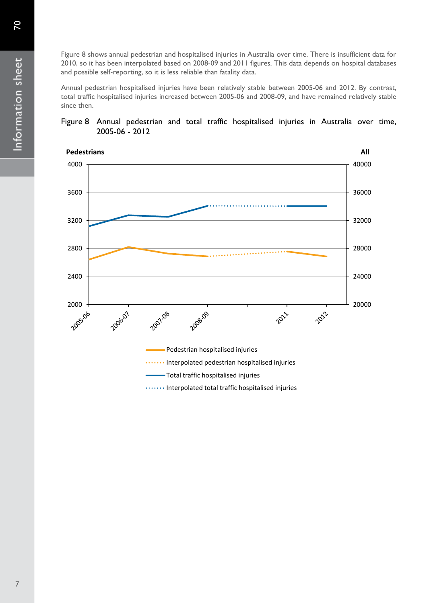Figure 8 shows annual pedestrian and hospitalised injuries in Australia over time. There is insufficient data for 2010, so it has been interpolated based on 2008-09 and 2011 figures. This data depends on hospital databases and possible self-reporting, so it is less reliable than fatality data.

Annual pedestrian hospitalised injuries have been relatively stable between 2005-06 and 2012. By contrast, total traffic hospitalised injuries increased between 2005-06 and 2008-09, and have remained relatively stable since then.

#### Figure 8 Annual pedestrian and total traffic hospitalised injuries in Australia over time, 2005-06 - 2012

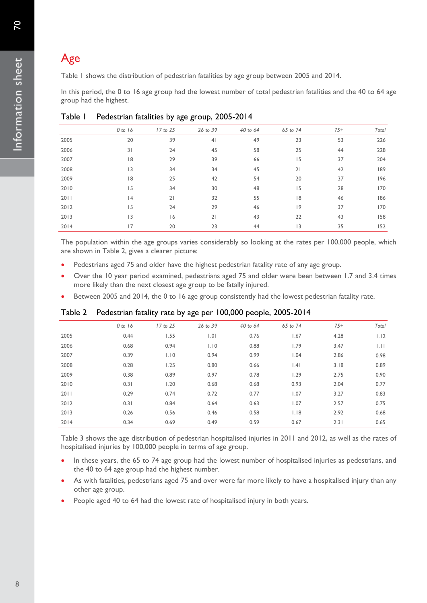# Age

Table 1 shows the distribution of pedestrian fatalities by age group between 2005 and 2014.

In this period, the 0 to 16 age group had the lowest number of total pedestrian fatalities and the 40 to 64 age group had the highest.

|      | 0 to 16 | 17 to 25 | 26 to 39       | 40 to 64 | 65 to 74 | $75+$ | Total |
|------|---------|----------|----------------|----------|----------|-------|-------|
| 2005 | 20      | 39       | 4 <sub>1</sub> | 49       | 23       | 53    | 226   |
| 2006 | 31      | 24       | 45             | 58       | 25       | 44    | 228   |
| 2007 | 18      | 29       | 39             | 66       | 15       | 37    | 204   |
| 2008 | 3       | 34       | 34             | 45       | 21       | 42    | 189   |
| 2009 | 18      | 25       | 42             | 54       | 20       | 37    | 196   |
| 2010 | 15      | 34       | 30             | 48       | 15       | 28    | 170   |
| 2011 | 4       | 21       | 32             | 55       | 18       | 46    | 186   |
| 2012 | 15      | 24       | 29             | 46       | 9        | 37    | 170   |
| 2013 | 3       | 16       | 21             | 43       | 22       | 43    | 158   |
| 2014 | 17      | 20       | 23             | 44       | 3        | 35    | 152   |

#### Table 1 Pedestrian fatalities by age group, 2005-2014

The population within the age groups varies considerably so looking at the rates per 100,000 people, which are shown in Table 2, gives a clearer picture:

- Pedestrians aged 75 and older have the highest pedestrian fatality rate of any age group.
- Over the 10 year period examined, pedestrians aged 75 and older were been between 1.7 and 3.4 times more likely than the next closest age group to be fatally injured.
- Between 2005 and 2014, the 0 to 16 age group consistently had the lowest pedestrian fatality rate.

|      | 0 to 16 | 17 to 25 | 26 to 39 | 40 to 64 | 65 to 74    | $75+$ | Total |
|------|---------|----------|----------|----------|-------------|-------|-------|
| 2005 | 0.44    | 1.55     | 1.01     | 0.76     | 1.67        | 4.28  | 1.12  |
| 2006 | 0.68    | 0.94     | 1.10     | 0.88     | <b>1.79</b> | 3.47  | .  .  |
| 2007 | 0.39    | 1.10     | 0.94     | 0.99     | 1.04        | 2.86  | 0.98  |
| 2008 | 0.28    | 1.25     | 0.80     | 0.66     | .4          | 3.18  | 0.89  |
| 2009 | 0.38    | 0.89     | 0.97     | 0.78     | 1.29        | 2.75  | 0.90  |
| 2010 | 0.31    | 1.20     | 0.68     | 0.68     | 0.93        | 2.04  | 0.77  |
| 2011 | 0.29    | 0.74     | 0.72     | 0.77     | 1.07        | 3.27  | 0.83  |
| 2012 | 0.31    | 0.84     | 0.64     | 0.63     | 1.07        | 2.57  | 0.75  |
| 2013 | 0.26    | 0.56     | 0.46     | 0.58     | 1.18        | 2.92  | 0.68  |
| 2014 | 0.34    | 0.69     | 0.49     | 0.59     | 0.67        | 2.31  | 0.65  |
|      |         |          |          |          |             |       |       |

### Table 2 Pedestrian fatality rate by age per 100,000 people, 2005-2014

Table 3 shows the age distribution of pedestrian hospitalised injuries in 2011 and 2012, as well as the rates of hospitalised injuries by 100,000 people in terms of age group.

- In these years, the 65 to 74 age group had the lowest number of hospitalised injuries as pedestrians, and the 40 to 64 age group had the highest number.
- As with fatalities, pedestrians aged 75 and over were far more likely to have a hospitalised injury than any other age group.
- People aged 40 to 64 had the lowest rate of hospitalised injury in both years.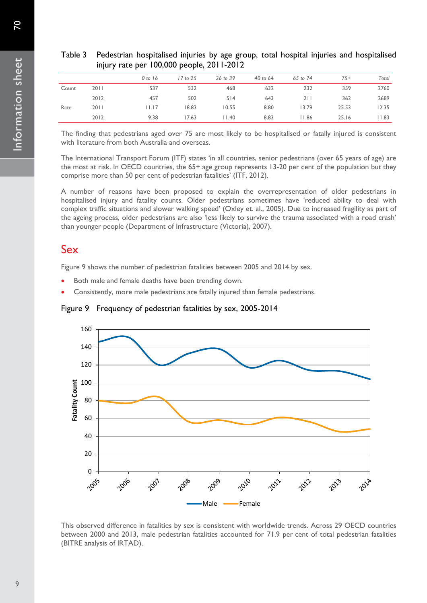|       |      | $\frac{1}{2}$ attempt too, over people, $\frac{1}{2}$ |              |          |          |          |       |       |
|-------|------|-------------------------------------------------------|--------------|----------|----------|----------|-------|-------|
|       |      | 0 to 16                                               | $17$ to $25$ | 26 to 39 | 40 to 64 | 65 to 74 | $75+$ | Total |
| Count | 2011 | 537                                                   | 532          | 468      | 632      | 232      | 359   | 2760  |
|       | 2012 | 457                                                   | 502          | 514      | 643      | 211      | 362   | 2689  |
| Rate  | 2011 | $  \cdot   \cdot   7$                                 | 18.83        | 10.55    | 8.80     | 13.79    | 25.53 | 12.35 |
|       | 2012 | 9.38                                                  | 17.63        | 11.40    | 8.83     | 11.86    | 25.16 | 1.83  |

### Table 3 Pedestrian hospitalised injuries by age group, total hospital injuries and hospitalised injury rate per 100,000 people, 2011-2012

The finding that pedestrians aged over 75 are most likely to be hospitalised or fatally injured is consistent with literature from both Australia and overseas.

The International Transport Forum (ITF) states 'in all countries, senior pedestrians (over 65 years of age) are the most at risk. In OECD countries, the 65+ age group represents 13-20 per cent of the population but they comprise more than 50 per cent of pedestrian fatalities' (ITF, 2012).

A number of reasons have been proposed to explain the overrepresentation of older pedestrians in hospitalised injury and fatality counts. Older pedestrians sometimes have 'reduced ability to deal with complex traffic situations and slower walking speed' (Oxley et. al., 2005). Due to increased fragility as part of the ageing process, older pedestrians are also 'less likely to survive the trauma associated with a road crash' than younger people (Department of Infrastructure (Victoria), 2007).

## Sex

Figure 9 shows the number of pedestrian fatalities between 2005 and 2014 by sex.

- Both male and female deaths have been trending down.
- Consistently, more male pedestrians are fatally injured than female pedestrians.

Figure 9 Frequency of pedestrian fatalities by sex, 2005-2014



This observed difference in fatalities by sex is consistent with worldwide trends. Across 29 OECD countries between 2000 and 2013, male pedestrian fatalities accounted for 71.9 per cent of total pedestrian fatalities (BITRE analysis of IRTAD).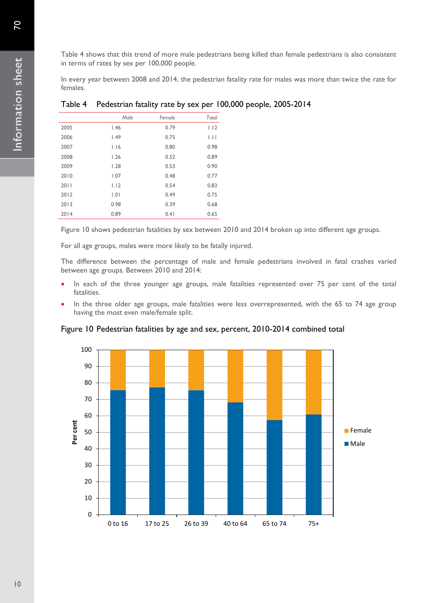Table 4 shows that this trend of more male pedestrians being killed than female pedestrians is also consistent in terms of rates by sex per 100,000 people.

In every year between 2008 and 2014, the pedestrian fatality rate for males was more than twice the rate for females.

|      | Male | Female | Total       |
|------|------|--------|-------------|
| 2005 | 1.46 | 0.79   | 1.12        |
| 2006 | 1.49 | 0.75   | $  \cdot  $ |
| 2007 | 1.16 | 0.80   | 0.98        |
| 2008 | 1.26 | 0.52   | 0.89        |
| 2009 | 1.28 | 0.53   | 0.90        |
| 2010 | 1.07 | 0.48   | 0.77        |
| 2011 | 1.12 | 0.54   | 0.83        |
| 2012 | 1.01 | 0.49   | 0.75        |
| 2013 | 0.98 | 0.39   | 0.68        |
| 2014 | 0.89 | 0.41   | 0.65        |

#### Table 4 Pedestrian fatality rate by sex per 100,000 people, 2005-2014

Figure 10 shows pedestrian fatalities by sex between 2010 and 2014 broken up into different age groups.

For all age groups, males were more likely to be fatally injured.

The difference between the percentage of male and female pedestrians involved in fatal crashes varied between age groups. Between 2010 and 2014:

- In each of the three younger age groups, male fatalities represented over 75 per cent of the total fatalities.
- In the three older age groups, male fatalities were less overrepresented, with the 65 to 74 age group having the most even male/female split.



#### Figure 10 Pedestrian fatalities by age and sex, percent, 2010-2014 combined total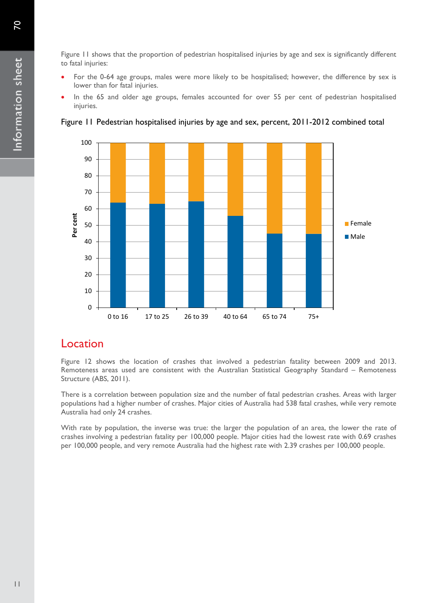- For the 0-64 age groups, males were more likely to be hospitalised; however, the difference by sex is lower than for fatal injuries.
- In the 65 and older age groups, females accounted for over 55 per cent of pedestrian hospitalised injuries.





### Location

Figure 12 shows the location of crashes that involved a pedestrian fatality between 2009 and 2013. Remoteness areas used are consistent with the Australian Statistical Geography Standard – Remoteness Structure (ABS, 2011).

There is a correlation between population size and the number of fatal pedestrian crashes. Areas with larger populations had a higher number of crashes. Major cities of Australia had 538 fatal crashes, while very remote Australia had only 24 crashes.

With rate by population, the inverse was true: the larger the population of an area, the lower the rate of crashes involving a pedestrian fatality per 100,000 people. Major cities had the lowest rate with 0.69 crashes per 100,000 people, and very remote Australia had the highest rate with 2.39 crashes per 100,000 people.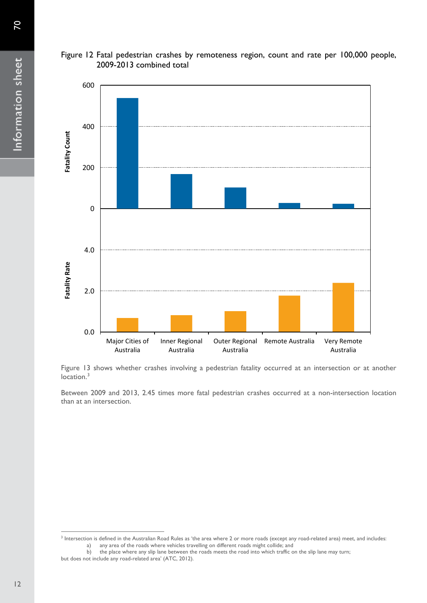



Figure 13 shows whether crashes involving a pedestrian fatality occurred at an intersection or at another location.<sup>[3](#page-11-0)</sup>

Australia

Outer Regional Remote Australia Very Remote

Australia

Inner Regional Australia

Between 2009 and 2013, 2.45 times more fatal pedestrian crashes occurred at a non-intersection location than at an intersection.

0.0

Major Cities of Australia

2.0

 $\overline{a}$ 

<span id="page-11-0"></span><sup>&</sup>lt;sup>3</sup> Intersection is defined in the Australian Road Rules as 'the area where 2 or more roads (except any road-related area) meet, and includes:<br>
a) any area of the roads where vehicles travelling on different roads might co any area of the roads where vehicles travelling on different roads might collide; and

b) the place where any slip lane between the roads meets the road into which traffic on the slip lane may turn; but does not include any road-related area' (ATC, 2012).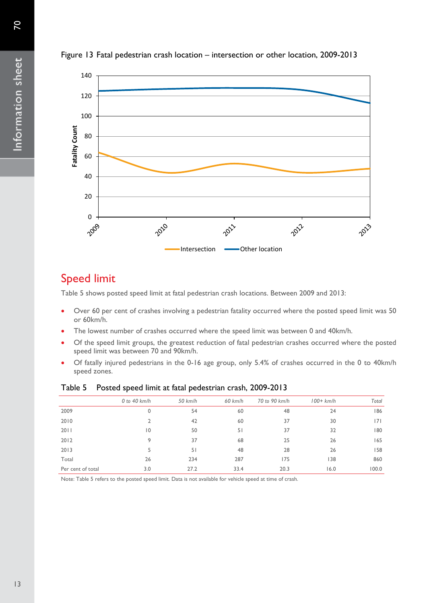

#### Figure 13 Fatal pedestrian crash location – intersection or other location, 2009-2013

## Speed limit

Table 5 shows posted speed limit at fatal pedestrian crash locations. Between 2009 and 2013:

- Over 60 per cent of crashes involving a pedestrian fatality occurred where the posted speed limit was 50 or 60km/h.
- The lowest number of crashes occurred where the speed limit was between 0 and 40km/h.
- Of the speed limit groups, the greatest reduction of fatal pedestrian crashes occurred where the posted speed limit was between 70 and 90km/h.
- Of fatally injured pedestrians in the 0-16 age group, only 5.4% of crashes occurred in the 0 to 40km/h speed zones.

|                   | $0$ to 40 km/h | $50$ km/h | $60$ km/h | 70 to 90 km/h | $100+km/h$ | Total |
|-------------------|----------------|-----------|-----------|---------------|------------|-------|
| 2009              | 0              | 54        | 60        | 48            | 24         | 186   |
| 2010              |                | 42        | 60        | 37            | 30         | 7     |
| 2011              | $\overline{0}$ | 50        | 51        | 37            | 32         | 180   |
| 2012              | 9              | 37        | 68        | 25            | 26         | 165   |
| 2013              | 5              | 51        | 48        | 28            | 26         | 158   |
| Total             | 26             | 234       | 287       | 175           | 138        | 860   |
| Per cent of total | 3.0            | 27.2      | 33.4      | 20.3          | 16.0       | 100.0 |

#### Table 5 Posted speed limit at fatal pedestrian crash, 2009-2013

Note: Table 5 refers to the posted speed limit. Data is not available for vehicle speed at time of crash.

Information sheet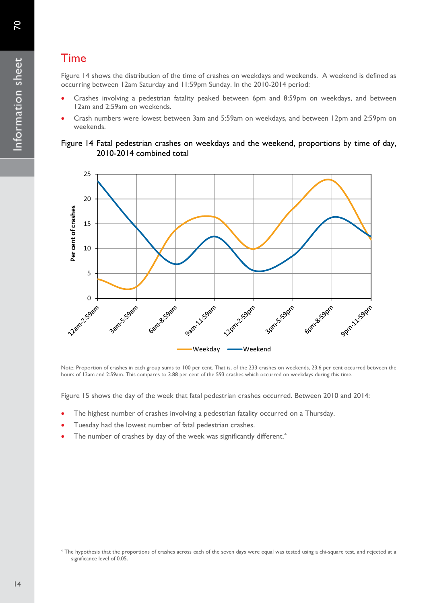## Time

Figure 14 shows the distribution of the time of crashes on weekdays and weekends. A weekend is defined as occurring between 12am Saturday and 11:59pm Sunday. In the 2010-2014 period:

- Crashes involving a pedestrian fatality peaked between 6pm and 8:59pm on weekdays, and between 12am and 2:59am on weekends.
- Crash numbers were lowest between 3am and 5:59am on weekdays, and between 12pm and 2:59pm on weekends.





Note: Proportion of crashes in each group sums to 100 per cent. That is, of the 233 crashes on weekends, 23.6 per cent occurred between the hours of 12am and 2:59am. This compares to 3.88 per cent of the 593 crashes which occurred on weekdays during this time.

Figure 15 shows the day of the week that fatal pedestrian crashes occurred. Between 2010 and 2014:

- The highest number of crashes involving a pedestrian fatality occurred on a Thursday.
- Tuesday had the lowest number of fatal pedestrian crashes.
- The number of crashes by day of the week was significantly different.<sup>[4](#page-13-0)</sup>

<span id="page-13-0"></span><sup>4</sup> The hypothesis that the proportions of crashes across each of the seven days were equal was tested using a chi-square test, and rejected at a significance level of 0.05.  $\overline{a}$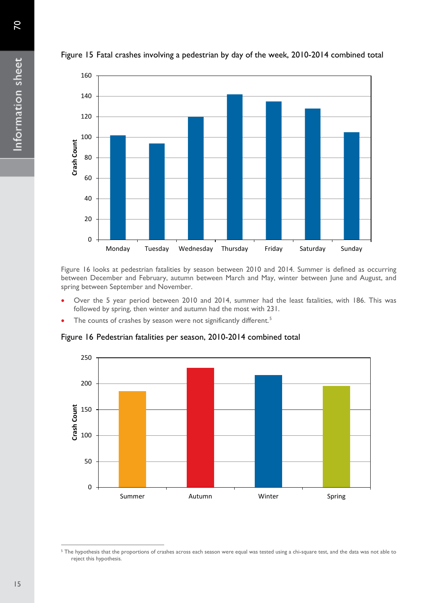

Figure 15 Fatal crashes involving a pedestrian by day of the week, 2010-2014 combined total

Figure 16 looks at pedestrian fatalities by season between 2010 and 2014. Summer is defined as occurring between December and February, autumn between March and May, winter between June and August, and spring between September and November.

- Over the 5 year period between 2010 and 2014, summer had the least fatalities, with 186. This was followed by spring, then winter and autumn had the most with 231.
- The counts of crashes by season were not significantly different.<sup>[5](#page-14-0)</sup>

Figure 16 Pedestrian fatalities per season, 2010-2014 combined total



 $\overline{a}$ 

<span id="page-14-0"></span><sup>&</sup>lt;sup>5</sup> The hypothesis that the proportions of crashes across each season were equal was tested using a chi-square test, and the data was not able to reject this hypothesis.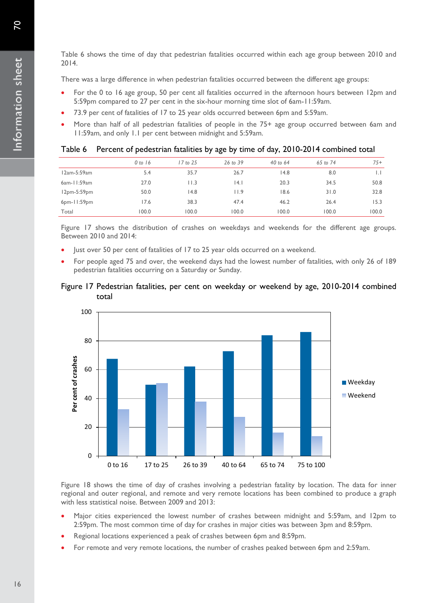70

Table 6 shows the time of day that pedestrian fatalities occurred within each age group between 2010 and 2014.

There was a large difference in when pedestrian fatalities occurred between the different age groups:

- For the 0 to 16 age group, 50 per cent all fatalities occurred in the afternoon hours between 12pm and 5:59pm compared to 27 per cent in the six-hour morning time slot of 6am-11:59am.
- 73.9 per cent of fatalities of 17 to 25 year olds occurred between 6pm and 5:59am.
- More than half of all pedestrian fatalities of people in the 75+ age group occurred between 6am and 11:59am, and only 1.1 per cent between midnight and 5:59am.

|             | 0 to 16 | 17 to 25 | 26 to 39 | 40 to $64$ | 65 to 74 | $75+$        |
|-------------|---------|----------|----------|------------|----------|--------------|
| 12am-5:59am | 5.4     | 35.7     | 26.7     | 14.8       | 8.0      | $\mathsf{L}$ |
| 6am-11:59am | 27.0    | l I.3    | 14. l    | 20.3       | 34.5     | 50.8         |
| 12pm-5:59pm | 50.0    | 14.8     | 11.9     | 18.6       | 31.0     | 32.8         |
| 6pm-11:59pm | 17.6    | 38.3     | 47.4     | 46.2       | 26.4     | 15.3         |
| Total       | 100.0   | 100.0    | 100.0    | 100.0      | 100.0    | 100.0        |

#### Table 6 Percent of pedestrian fatalities by age by time of day, 2010-2014 combined total

Figure 17 shows the distribution of crashes on weekdays and weekends for the different age groups. Between 2010 and 2014:

- Just over 50 per cent of fatalities of 17 to 25 year olds occurred on a weekend.
- For people aged 75 and over, the weekend days had the lowest number of fatalities, with only 26 of 189 pedestrian fatalities occurring on a Saturday or Sunday.

#### Figure 17 Pedestrian fatalities, per cent on weekday or weekend by age, 2010-2014 combined total



Figure 18 shows the time of day of crashes involving a pedestrian fatality by location. The data for inner regional and outer regional, and remote and very remote locations has been combined to produce a graph with less statistical noise. Between 2009 and 2013:

- Major cities experienced the lowest number of crashes between midnight and 5:59am, and 12pm to 2:59pm. The most common time of day for crashes in major cities was between 3pm and 8:59pm.
- Regional locations experienced a peak of crashes between 6pm and 8:59pm.
- For remote and very remote locations, the number of crashes peaked between 6pm and 2:59am.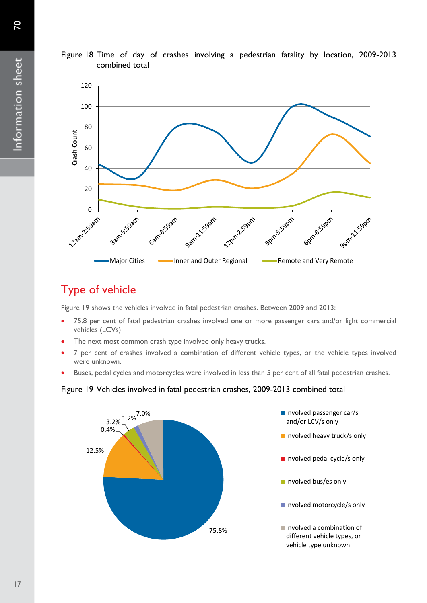

### Figure 18 Time of day of crashes involving a pedestrian fatality by location, 2009-2013 combined total

# Type of vehicle

Figure 19 shows the vehicles involved in fatal pedestrian crashes. Between 2009 and 2013:

- 75.8 per cent of fatal pedestrian crashes involved one or more passenger cars and/or light commercial vehicles (LCVs)
- The next most common crash type involved only heavy trucks.
- 7 per cent of crashes involved a combination of different vehicle types, or the vehicle types involved were unknown.
- Buses, pedal cycles and motorcycles were involved in less than 5 per cent of all fatal pedestrian crashes.

### Figure 19 Vehicles involved in fatal pedestrian crashes, 2009-2013 combined total

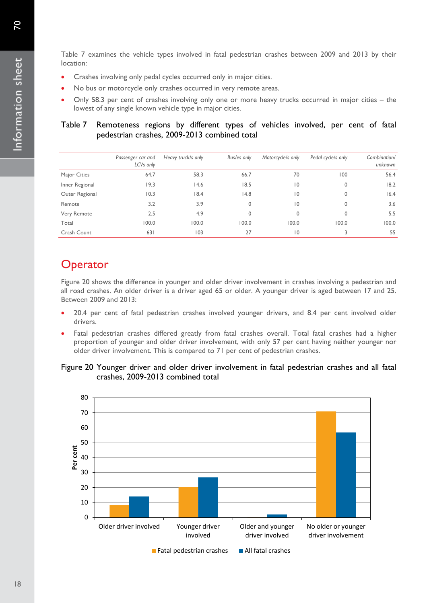Table 7 examines the vehicle types involved in fatal pedestrian crashes between 2009 and 2013 by their location:

- Crashes involving only pedal cycles occurred only in major cities.
- No bus or motorcycle only crashes occurred in very remote areas.
- Only 58.3 per cent of crashes involving only one or more heavy trucks occurred in major cities the lowest of any single known vehicle type in major cities.

### Table 7 Remoteness regions by different types of vehicles involved, per cent of fatal pedestrian crashes, 2009-2013 combined total

|                | Passenger car and<br>LCVs only | Heavy truck/s only | Bus/es only | Motorcycle/s only | Pedal cycle/s only | Combination/<br>unknown |
|----------------|--------------------------------|--------------------|-------------|-------------------|--------------------|-------------------------|
| Major Cities   | 64.7                           | 58.3               | 66.7        | 70                | 100                | 56.4                    |
| Inner Regional | 19.3                           | 14.6               | 18.5        | $\overline{0}$    | 0                  | 18.2                    |
| Outer Regional | 10.3                           | 18.4               | 14.8        | $\overline{0}$    | 0                  | 16.4                    |
| Remote         | 3.2                            | 3.9                | 0           | $ 0\rangle$       | 0                  | 3.6                     |
| Very Remote    | 2.5                            | 4.9                | 0           | $\mathbf 0$       | 0                  | 5.5                     |
| Total          | 100.0                          | 100.0              | 100.0       | 100.0             | 100.0              | 100.0                   |
| Crash Count    | 631                            | 103                | 27          | $\overline{0}$    |                    | 55                      |

# **Operator**

Figure 20 shows the difference in younger and older driver involvement in crashes involving a pedestrian and all road crashes. An older driver is a driver aged 65 or older. A younger driver is aged between 17 and 25. Between 2009 and 2013:

- 20.4 per cent of fatal pedestrian crashes involved younger drivers, and 8.4 per cent involved older drivers.
- Fatal pedestrian crashes differed greatly from fatal crashes overall. Total fatal crashes had a higher proportion of younger and older driver involvement, with only 57 per cent having neither younger nor older driver involvement. This is compared to 71 per cent of pedestrian crashes.

#### Figure 20 Younger driver and older driver involvement in fatal pedestrian crashes and all fatal crashes, 2009-2013 combined total

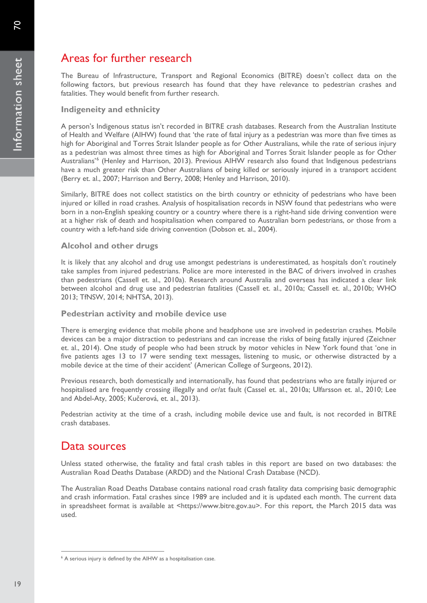# Areas for further research

The Bureau of Infrastructure, Transport and Regional Economics (BITRE) doesn't collect data on the following factors, but previous research has found that they have relevance to pedestrian crashes and fatalities. They would benefit from further research.

#### **Indigeneity and ethnicity**

A person's Indigenous status isn't recorded in BITRE crash databases. Research from the Australian Institute of Health and Welfare (AIHW) found that 'the rate of fatal injury as a pedestrian was more than five times as high for Aboriginal and Torres Strait Islander people as for Other Australians, while the rate of serious injury as a pedestrian was almost three times as high for Aboriginal and Torres Strait Islander people as for Other Australians'[6](#page-18-0) (Henley and Harrison, 2013). Previous AIHW research also found that Indigenous pedestrians have a much greater risk than Other Australians of being killed or seriously injured in a transport accident (Berry et. al., 2007; Harrison and Berry, 2008; Henley and Harrison, 2010).

Similarly, BITRE does not collect statistics on the birth country or ethnicity of pedestrians who have been injured or killed in road crashes. Analysis of hospitalisation records in NSW found that pedestrians who were born in a non-English speaking country or a country where there is a right-hand side driving convention were at a higher risk of death and hospitalisation when compared to Australian born pedestrians, or those from a country with a left-hand side driving convention (Dobson et. al., 2004).

#### **Alcohol and other drugs**

It is likely that any alcohol and drug use amongst pedestrians is underestimated, as hospitals don't routinely take samples from injured pedestrians. Police are more interested in the BAC of drivers involved in crashes than pedestrians (Cassell et. al., 2010a). Research around Australia and overseas has indicated a clear link between alcohol and drug use and pedestrian fatalities (Cassell et. al., 2010a; Cassell et. al., 2010b; WHO 2013; TfNSW, 2014; NHTSA, 2013).

#### **Pedestrian activity and mobile device use**

There is emerging evidence that mobile phone and headphone use are involved in pedestrian crashes. Mobile devices can be a major distraction to pedestrians and can increase the risks of being fatally injured (Zeichner et. al., 2014). One study of people who had been struck by motor vehicles in New York found that 'one in five patients ages 13 to 17 were sending text messages, listening to music, or otherwise distracted by a mobile device at the time of their accident' (American College of Surgeons, 2012).

Previous research, both domestically and internationally, has found that pedestrians who are fatally injured or hospitalised are frequently crossing illegally and or/at fault (Cassel et. al., 2010a; Ulfarsson et. al., 2010; Lee and Abdel-Aty, 2005; Kučerová, et. al., 2013).

Pedestrian activity at the time of a crash, including mobile device use and fault, is not recorded in BITRE crash databases.

### Data sources

Unless stated otherwise, the fatality and fatal crash tables in this report are based on two databases: the Australian Road Deaths Database (ARDD) and the National Crash Database (NCD).

The Australian Road Deaths Database contains national road crash fatality data comprising basic demographic and crash information. Fatal crashes since 1989 are included and it is updated each month. The current data in spreadsheet format is available at <https://www.bitre.gov.au>. For this report, the March 2015 data was used.

 $\overline{a}$ 

<span id="page-18-0"></span><sup>&</sup>lt;sup>6</sup> A serious injury is defined by the AIHW as a hospitalisation case.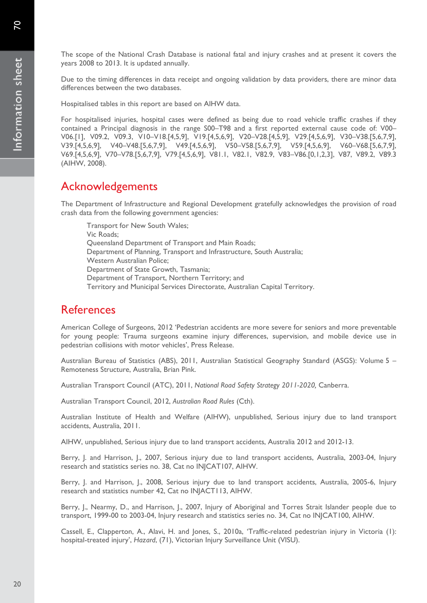The scope of the National Crash Database is national fatal and injury crashes and at present it covers the years 2008 to 2013. It is updated annually.

Due to the timing differences in data receipt and ongoing validation by data providers, there are minor data differences between the two databases.

Hospitalised tables in this report are based on AIHW data.

For hospitalised injuries, hospital cases were defined as being due to road vehicle traffic crashes if they contained a Principal diagnosis in the range S00–T98 and a first reported external cause code of: V00– V06.[1], V09.2, V09.3, V10–V18.[4,5,9], V19.[4,5,6,9], V20–V28.[4,5,9], V29.[4,5,6,9], V30–V38.[5,6,7,9], V39.[4,5,6,9], V40–V48.[5,6,7,9], V49.[4,5,6,9], V50–V58.[5,6,7,9], V59.[4,5,6,9], V60–V68.[5,6,7,9], V69.[4,5,6,9], V70–V78.[5,6,7,9], V79.[4,5,6,9], V81.1, V82.1, V82.9, V83–V86.[0,1,2,3], V87, V89.2, V89.3 (AIHW, 2008).

## Acknowledgements

The Department of Infrastructure and Regional Development gratefully acknowledges the provision of road crash data from the following government agencies:

Transport for New South Wales; Vic Roads; Queensland Department of Transport and Main Roads; Department of Planning, Transport and Infrastructure, South Australia; Western Australian Police; Department of State Growth, Tasmania; Department of Transport, Northern Territory; and Territory and Municipal Services Directorate, Australian Capital Territory.

### References

American College of Surgeons, 2012 'Pedestrian accidents are more severe for seniors and more preventable for young people: Trauma surgeons examine injury differences, supervision, and mobile device use in pedestrian collisions with motor vehicles', Press Release.

Australian Bureau of Statistics (ABS), 2011, Australian Statistical Geography Standard (ASGS): Volume 5 – Remoteness Structure, Australia, Brian Pink.

Australian Transport Council (ATC), 2011, *National Road Safety Strategy 2011-2020,* Canberra.

Australian Transport Council, 2012, *Australian Road Rules* (Cth).

Australian Institute of Health and Welfare (AIHW), unpublished, Serious injury due to land transport accidents, Australia, 2011.

AIHW, unpublished, Serious injury due to land transport accidents, Australia 2012 and 2012-13.

Berry, J. and Harrison, J., 2007, Serious injury due to land transport accidents, Australia, 2003-04, Injury research and statistics series no. 38, Cat no INJCAT107, AIHW.

Berry, J. and Harrison, J., 2008, Serious injury due to land transport accidents, Australia, 2005-6, Injury research and statistics number 42, Cat no INJACT113, AIHW.

Berry, J., Nearmy, D., and Harrison, J., 2007, Injury of Aboriginal and Torres Strait Islander people due to transport, 1999-00 to 2003-04, Injury research and statistics series no. 34, Cat no INJCAT100, AIHW.

Cassell, E., Clapperton, A., Alavi, H. and Jones, S., 2010a, 'Traffic-related pedestrian injury in Victoria (1): hospital-treated injury', *Hazard*, (71), Victorian Injury Surveillance Unit (VISU).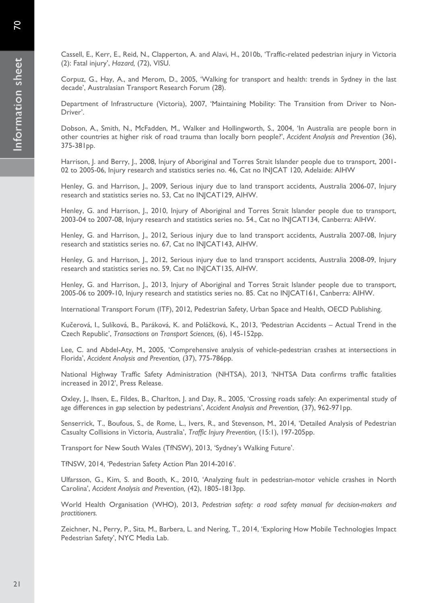Cassell, E., Kerr, E., Reid, N., Clapperton, A. and Alavi, H., 2010b, 'Traffic-related pedestrian injury in Victoria (2): Fatal injury', *Hazard,* (72), VISU.

Corpuz, G., Hay, A., and Merom, D., 2005, 'Walking for transport and health: trends in Sydney in the last decade', Australasian Transport Research Forum (28).

Department of Infrastructure (Victoria), 2007, 'Maintaining Mobility: The Transition from Driver to Non-Driver'.

Dobson, A., Smith, N., McFadden, M., Walker and Hollingworth, S., 2004, 'In Australia are people born in other countries at higher risk of road trauma than locally born people?', *Accident Analysis and Prevention* (36), 375-381pp.

Harrison, J. and Berry, J., 2008, Injury of Aboriginal and Torres Strait Islander people due to transport, 2001-02 to 2005-06, Injury research and statistics series no. 46, Cat no INJCAT 120, Adelaide: AIHW

Henley, G. and Harrison, J., 2009, Serious injury due to land transport accidents, Australia 2006-07, Injury research and statistics series no. 53, Cat no INJCAT129, AIHW.

Henley, G. and Harrison, J., 2010, Injury of Aboriginal and Torres Strait Islander people due to transport, 2003-04 to 2007-08, Injury research and statistics series no. 54., Cat no INJCAT134, Canberra: AIHW.

Henley, G. and Harrison, J., 2012, Serious injury due to land transport accidents, Australia 2007-08, Injury research and statistics series no. 67, Cat no INJCAT143, AIHW.

Henley, G. and Harrison, J., 2012, Serious injury due to land transport accidents, Australia 2008-09, Injury research and statistics series no. 59, Cat no INJCAT135, AIHW.

Henley, G. and Harrison, J., 2013, Injury of Aboriginal and Torres Strait Islander people due to transport, 2005-06 to 2009-10, Injury research and statistics series no. 85. Cat no INJCAT161, Canberra: AIHW.

International Transport Forum (ITF), 2012, Pedestrian Safety, Urban Space and Health, OECD Publishing.

Kučerová, I., Sulíková, B., Paráková, K. and Poláčková, K., 2013, 'Pedestrian Accidents – Actual Trend in the Czech Republic', *Transactions on Transport Sciences,* (6), 145-152pp.

Lee, C. and Abdel-Aty, M., 2005, 'Comprehensive analysis of vehicle-pedestrian crashes at intersections in Florida', *Accident Analysis and Prevention,* (37), 775-786pp.

National Highway Traffic Safety Administration (NHTSA), 2013, 'NHTSA Data confirms traffic fatalities increased in 2012', Press Release.

Oxley, J., Ihsen, E., Fildes, B., Charlton, J. and Day, R., 2005, 'Crossing roads safely: An experimental study of age differences in gap selection by pedestrians', *Accident Analysis and Prevention,* (37), 962-971pp.

Senserrick, T., Boufous, S., de Rome, L., Ivers, R., and Stevenson, M., 2014, 'Detailed Analysis of Pedestrian Casualty Collisions in Victoria, Australia', *Traffic Injury Prevention,* (15:1), 197-205pp.

Transport for New South Wales (TfNSW), 2013, 'Sydney's Walking Future'.

TfNSW, 2014, 'Pedestrian Safety Action Plan 2014-2016'.

Ulfarsson, G., Kim, S. and Booth, K., 2010, 'Analyzing fault in pedestrian-motor vehicle crashes in North Carolina', *Accident Analysis and Prevention,* (42), 1805-1813pp.

World Health Organisation (WHO), 2013, *Pedestrian safety: a road safety manual for decision-makers and practitioners.* 

Zeichner, N., Perry, P., Sita, M., Barbera, L. and Nering, T., 2014, 'Exploring How Mobile Technologies Impact Pedestrian Safety', NYC Media Lab.